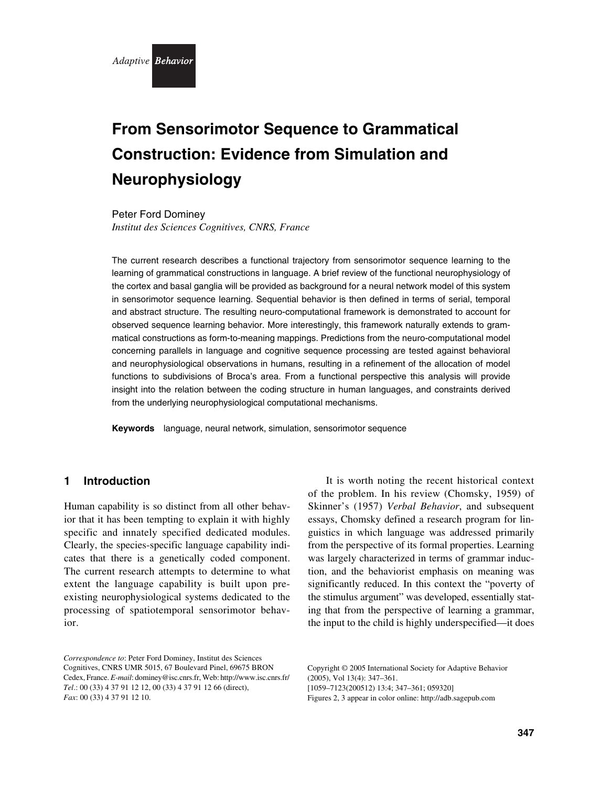

# **From Sensorimotor Sequence to Grammatical Construction: Evidence from Simulation and Neurophysiology**

Peter Ford Dominey *Institut des Sciences Cognitives, CNRS, France*

The current research describes a functional trajectory from sensorimotor sequence learning to the learning of grammatical constructions in language. A brief review of the functional neurophysiology of the cortex and basal ganglia will be provided as background for a neural network model of this system in sensorimotor sequence learning. Sequential behavior is then defined in terms of serial, temporal and abstract structure. The resulting neuro-computational framework is demonstrated to account for observed sequence learning behavior. More interestingly, this framework naturally extends to grammatical constructions as form-to-meaning mappings. Predictions from the neuro-computational model concerning parallels in language and cognitive sequence processing are tested against behavioral and neurophysiological observations in humans, resulting in a refinement of the allocation of model functions to subdivisions of Broca's area. From a functional perspective this analysis will provide insight into the relation between the coding structure in human languages, and constraints derived from the underlying neurophysiological computational mechanisms.

**Keywords** language, neural network, simulation, sensorimotor sequence

#### **1 Introduction**

Human capability is so distinct from all other behavior that it has been tempting to explain it with highly specific and innately specified dedicated modules. Clearly, the species-specific language capability indicates that there is a genetically coded component. The current research attempts to determine to what extent the language capability is built upon preexisting neurophysiological systems dedicated to the processing of spatiotemporal sensorimotor behavior.

from the perspective of its formal properties. Learning was largely characterized in terms of grammar induction, and the behaviorist emphasis on meaning was significantly reduced. In this context the "poverty of the stimulus argument" was developed, essentially stating that from the perspective of learning a grammar, the input to the child is highly underspecified—it does

Copyright © 2005 International Society for Adaptive Behavior (2005), Vol 13(4): 347–361.

It is worth noting the recent historical context of the problem. In his review (Chomsky, 1959) of Skinner's (1957) *Verbal Behavior*, and subsequent essays, Chomsky defined a research program for linguistics in which language was addressed primarily

[1059–7123(200512) 13:4; 347–361; 059320]

Figures 2, 3 appear in color online: http://adb.sagepub.com

*Correspondence to*: Peter Ford Dominey, Institut des Sciences Cognitives, CNRS UMR 5015, 67 Boulevard Pinel, 69675 BRON Cedex, France. *E-mail*: dominey@isc.cnrs.fr, Web: http://www.isc.cnrs.fr/ *Tel*.: 00 (33) 4 37 91 12 12, 00 (33) 4 37 91 12 66 (direct), *Fax*: 00 (33) 4 37 91 12 10.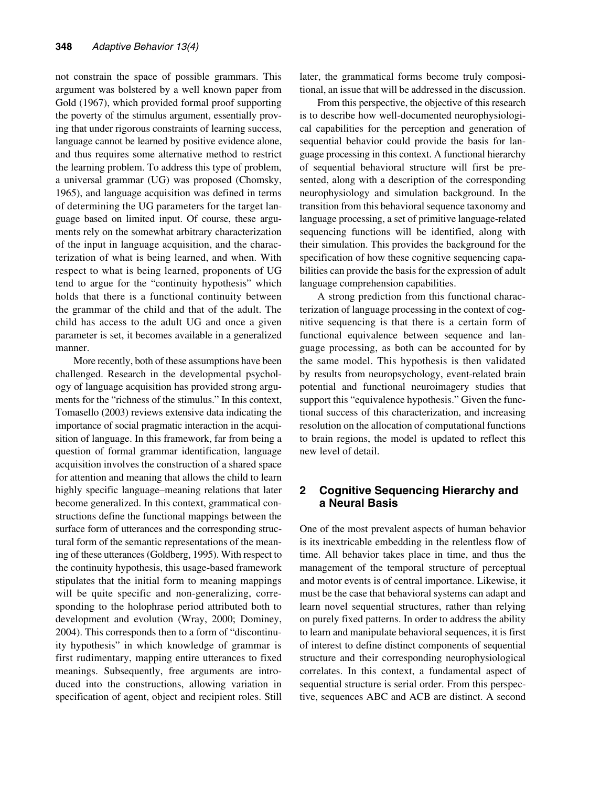not constrain the space of possible grammars. This argument was bolstered by a well known paper from Gold (1967), which provided formal proof supporting the poverty of the stimulus argument, essentially proving that under rigorous constraints of learning success, language cannot be learned by positive evidence alone, and thus requires some alternative method to restrict the learning problem. To address this type of problem, a universal grammar (UG) was proposed (Chomsky, 1965), and language acquisition was defined in terms of determining the UG parameters for the target language based on limited input. Of course, these arguments rely on the somewhat arbitrary characterization of the input in language acquisition, and the characterization of what is being learned, and when. With respect to what is being learned, proponents of UG tend to argue for the "continuity hypothesis" which holds that there is a functional continuity between the grammar of the child and that of the adult. The child has access to the adult UG and once a given parameter is set, it becomes available in a generalized manner.

More recently, both of these assumptions have been challenged. Research in the developmental psychology of language acquisition has provided strong arguments for the "richness of the stimulus." In this context, Tomasello (2003) reviews extensive data indicating the importance of social pragmatic interaction in the acquisition of language. In this framework, far from being a question of formal grammar identification, language acquisition involves the construction of a shared space for attention and meaning that allows the child to learn highly specific language–meaning relations that later become generalized. In this context, grammatical constructions define the functional mappings between the surface form of utterances and the corresponding structural form of the semantic representations of the meaning of these utterances (Goldberg, 1995). With respect to the continuity hypothesis, this usage-based framework stipulates that the initial form to meaning mappings will be quite specific and non-generalizing, corresponding to the holophrase period attributed both to development and evolution (Wray, 2000; Dominey, 2004). This corresponds then to a form of "discontinuity hypothesis" in which knowledge of grammar is first rudimentary, mapping entire utterances to fixed meanings. Subsequently, free arguments are introduced into the constructions, allowing variation in specification of agent, object and recipient roles. Still later, the grammatical forms become truly compositional, an issue that will be addressed in the discussion.

From this perspective, the objective of this research is to describe how well-documented neurophysiological capabilities for the perception and generation of sequential behavior could provide the basis for language processing in this context. A functional hierarchy of sequential behavioral structure will first be presented, along with a description of the corresponding neurophysiology and simulation background. In the transition from this behavioral sequence taxonomy and language processing, a set of primitive language-related sequencing functions will be identified, along with their simulation. This provides the background for the specification of how these cognitive sequencing capabilities can provide the basis for the expression of adult language comprehension capabilities.

A strong prediction from this functional characterization of language processing in the context of cognitive sequencing is that there is a certain form of functional equivalence between sequence and language processing, as both can be accounted for by the same model. This hypothesis is then validated by results from neuropsychology, event-related brain potential and functional neuroimagery studies that support this "equivalence hypothesis." Given the functional success of this characterization, and increasing resolution on the allocation of computational functions to brain regions, the model is updated to reflect this new level of detail.

## **2 Cognitive Sequencing Hierarchy and a Neural Basis**

One of the most prevalent aspects of human behavior is its inextricable embedding in the relentless flow of time. All behavior takes place in time, and thus the management of the temporal structure of perceptual and motor events is of central importance. Likewise, it must be the case that behavioral systems can adapt and learn novel sequential structures, rather than relying on purely fixed patterns. In order to address the ability to learn and manipulate behavioral sequences, it is first of interest to define distinct components of sequential structure and their corresponding neurophysiological correlates. In this context, a fundamental aspect of sequential structure is serial order. From this perspective, sequences ABC and ACB are distinct. A second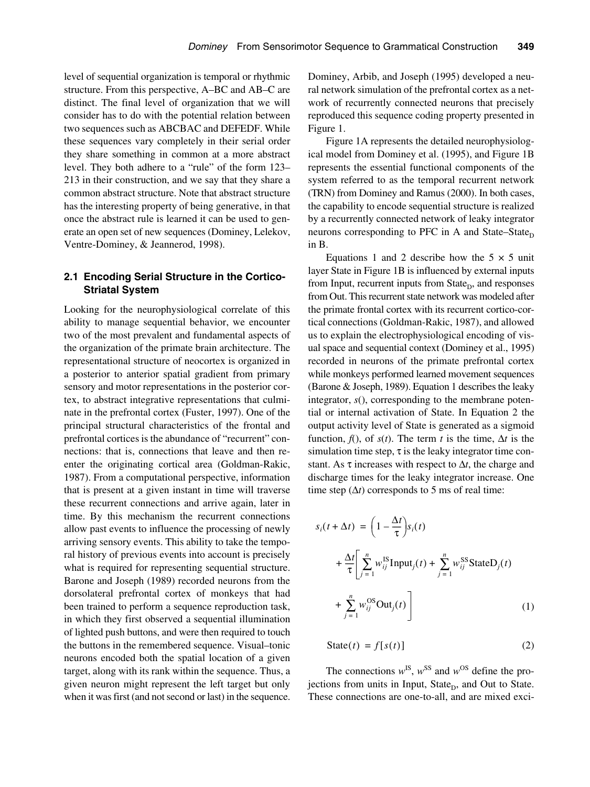level of sequential organization is temporal or rhythmic structure. From this perspective, A–BC and AB–C are distinct. The final level of organization that we will consider has to do with the potential relation between two sequences such as ABCBAC and DEFEDF. While these sequences vary completely in their serial order they share something in common at a more abstract level. They both adhere to a "rule" of the form 123– 213 in their construction, and we say that they share a common abstract structure. Note that abstract structure has the interesting property of being generative, in that once the abstract rule is learned it can be used to generate an open set of new sequences (Dominey, Lelekov, Ventre-Dominey, & Jeannerod, 1998).

#### **2.1 Encoding Serial Structure in the Cortico-Striatal System**

Looking for the neurophysiological correlate of this ability to manage sequential behavior, we encounter two of the most prevalent and fundamental aspects of the organization of the primate brain architecture. The representational structure of neocortex is organized in a posterior to anterior spatial gradient from primary sensory and motor representations in the posterior cortex, to abstract integrative representations that culminate in the prefrontal cortex (Fuster, 1997). One of the principal structural characteristics of the frontal and prefrontal cortices is the abundance of "recurrent" connections: that is, connections that leave and then reenter the originating cortical area (Goldman-Rakic, 1987). From a computational perspective, information that is present at a given instant in time will traverse these recurrent connections and arrive again, later in time. By this mechanism the recurrent connections allow past events to influence the processing of newly arriving sensory events. This ability to take the temporal history of previous events into account is precisely what is required for representing sequential structure. Barone and Joseph (1989) recorded neurons from the dorsolateral prefrontal cortex of monkeys that had been trained to perform a sequence reproduction task, in which they first observed a sequential illumination of lighted push buttons, and were then required to touch the buttons in the remembered sequence. Visual–tonic neurons encoded both the spatial location of a given target, along with its rank within the sequence. Thus, a given neuron might represent the left target but only when it was first (and not second or last) in the sequence. Dominey, Arbib, and Joseph (1995) developed a neural network simulation of the prefrontal cortex as a network of recurrently connected neurons that precisely reproduced this sequence coding property presented in Figure 1.

Figure 1A represents the detailed neurophysiological model from Dominey et al. (1995), and Figure 1B represents the essential functional components of the system referred to as the temporal recurrent network (TRN) from Dominey and Ramus (2000). In both cases, the capability to encode sequential structure is realized by a recurrently connected network of leaky integrator neurons corresponding to PFC in A and State–State $_D$ in B.

Equations 1 and 2 describe how the  $5 \times 5$  unit layer State in Figure 1B is influenced by external inputs from Input, recurrent inputs from  $State<sub>D</sub>$ , and responses from Out. This recurrent state network was modeled after the primate frontal cortex with its recurrent cortico-cortical connections (Goldman-Rakic, 1987), and allowed us to explain the electrophysiological encoding of visual space and sequential context (Dominey et al., 1995) recorded in neurons of the primate prefrontal cortex while monkeys performed learned movement sequences (Barone & Joseph, 1989). Equation 1 describes the leaky integrator, *s*(), corresponding to the membrane potential or internal activation of State. In Equation 2 the output activity level of State is generated as a sigmoid function,  $f()$ , of  $s(t)$ . The term *t* is the time,  $\Delta t$  is the simulation time step,  $\tau$  is the leaky integrator time constant. As τ increases with respect to ∆*t*, the charge and discharge times for the leaky integrator increase. One time step  $(\Delta t)$  corresponds to 5 ms of real time:

$$
s_i(t + \Delta t) = \left(1 - \frac{\Delta t}{\tau}\right) s_i(t)
$$
  
+ 
$$
\frac{\Delta t}{\tau} \left[ \sum_{j=1}^n w_{ij}^{IS} Input_j(t) + \sum_{j=1}^n w_{ij}^{SS} StateD_j(t)
$$
  
+ 
$$
\sum_{j=1}^n w_{ij}^{OS} Out_j(t) \right]
$$
(1)

$$
State(t) = f[s(t)] \tag{2}
$$

The connections  $w^{IS}$ ,  $w^{SS}$  and  $w^{OS}$  define the projections from units in Input, State<sub>D</sub>, and Out to State. These connections are one-to-all, and are mixed exci-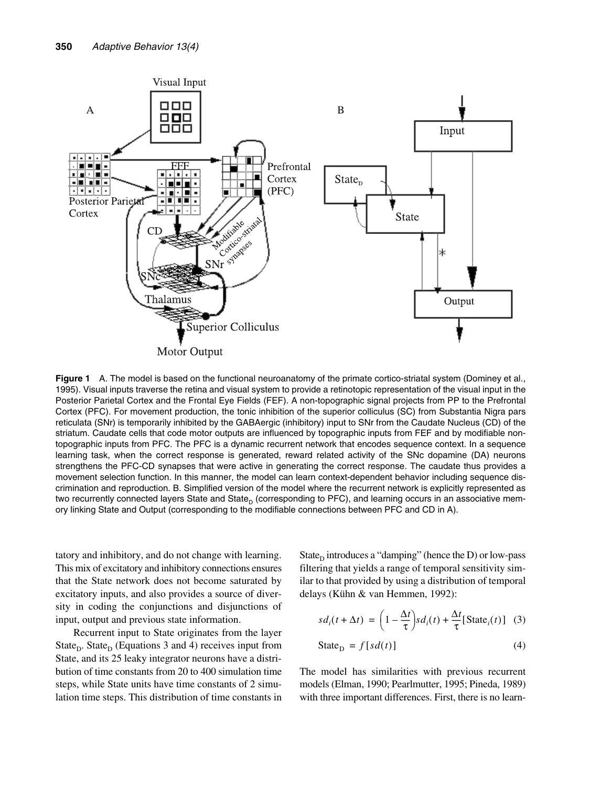

**Figure 1** A. The model is based on the functional neuroanatomy of the primate cortico-striatal system (Dominey et al., 1995). Visual inputs traverse the retina and visual system to provide a retinotopic representation of the visual input in the Posterior Parietal Cortex and the Frontal Eye Fields (FEF). A non-topographic signal projects from PP to the Prefrontal Cortex (PFC). For movement production, the tonic inhibition of the superior colliculus (SC) from Substantia Nigra pars reticulata (SNr) is temporarily inhibited by the GABAergic (inhibitory) input to SNr from the Caudate Nucleus (CD) of the striatum. Caudate cells that code motor outputs are influenced by topographic inputs from FEF and by modifiable nontopographic inputs from PFC. The PFC is a dynamic recurrent network that encodes sequence context. In a sequence learning task, when the correct response is generated, reward related activity of the SNc dopamine (DA) neurons strengthens the PFC-CD synapses that were active in generating the correct response. The caudate thus provides a movement selection function. In this manner, the model can learn context-dependent behavior including sequence discrimination and reproduction. B. Simplified version of the model where the recurrent network is explicitly represented as two recurrently connected layers State and State<sub>p</sub> (corresponding to PFC), and learning occurs in an associative memory linking State and Output (corresponding to the modifiable connections between PFC and CD in A).

tatory and inhibitory, and do not change with learning. This mix of excitatory and inhibitory connections ensures that the State network does not become saturated by excitatory inputs, and also provides a source of diversity in coding the conjunctions and disjunctions of input, output and previous state information.

Recurrent input to State originates from the layer State<sub>D</sub>. State<sub>D</sub> (Equations 3 and 4) receives input from State, and its 25 leaky integrator neurons have a distribution of time constants from 20 to 400 simulation time steps, while State units have time constants of 2 simulation time steps. This distribution of time constants in State<sub>D</sub> introduces a "damping" (hence the D) or low-pass filtering that yields a range of temporal sensitivity similar to that provided by using a distribution of temporal delays (Kühn & van Hemmen, 1992):

$$
sd_i(t + \Delta t) = \left(1 - \frac{\Delta t}{\tau}\right) sd_i(t) + \frac{\Delta t}{\tau} \left[ \text{State}_i(t) \right] \tag{3}
$$

$$
\text{State}_{\mathcal{D}} = f[s d(t)] \tag{4}
$$

The model has similarities with previous recurrent models (Elman, 1990; Pearlmutter, 1995; Pineda, 1989) with three important differences. First, there is no learn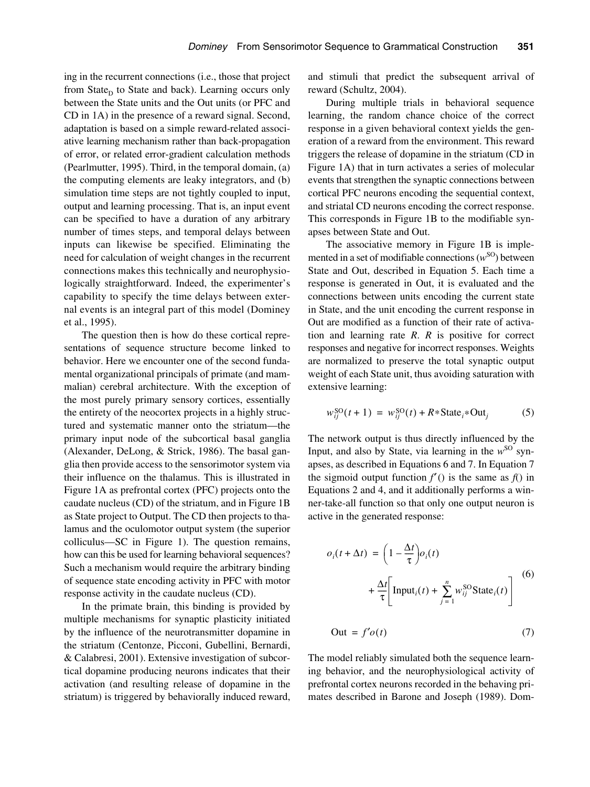ing in the recurrent connections (i.e., those that project from State<sub>D</sub> to State and back). Learning occurs only between the State units and the Out units (or PFC and CD in 1A) in the presence of a reward signal. Second, adaptation is based on a simple reward-related associative learning mechanism rather than back-propagation of error, or related error-gradient calculation methods (Pearlmutter, 1995). Third, in the temporal domain, (a) the computing elements are leaky integrators, and (b) simulation time steps are not tightly coupled to input, output and learning processing. That is, an input event can be specified to have a duration of any arbitrary number of times steps, and temporal delays between inputs can likewise be specified. Eliminating the need for calculation of weight changes in the recurrent connections makes this technically and neurophysiologically straightforward. Indeed, the experimenter's capability to specify the time delays between external events is an integral part of this model (Dominey et al., 1995).

The question then is how do these cortical representations of sequence structure become linked to behavior. Here we encounter one of the second fundamental organizational principals of primate (and mammalian) cerebral architecture. With the exception of the most purely primary sensory cortices, essentially the entirety of the neocortex projects in a highly structured and systematic manner onto the striatum—the primary input node of the subcortical basal ganglia (Alexander, DeLong, & Strick, 1986). The basal ganglia then provide access to the sensorimotor system via their influence on the thalamus. This is illustrated in Figure 1A as prefrontal cortex (PFC) projects onto the caudate nucleus (CD) of the striatum, and in Figure 1B as State project to Output. The CD then projects to thalamus and the oculomotor output system (the superior colliculus—SC in Figure 1). The question remains, how can this be used for learning behavioral sequences? Such a mechanism would require the arbitrary binding of sequence state encoding activity in PFC with motor response activity in the caudate nucleus (CD).

In the primate brain, this binding is provided by multiple mechanisms for synaptic plasticity initiated by the influence of the neurotransmitter dopamine in the striatum (Centonze, Picconi, Gubellini, Bernardi, & Calabresi, 2001). Extensive investigation of subcortical dopamine producing neurons indicates that their activation (and resulting release of dopamine in the striatum) is triggered by behaviorally induced reward,

and stimuli that predict the subsequent arrival of reward (Schultz, 2004).

During multiple trials in behavioral sequence learning, the random chance choice of the correct response in a given behavioral context yields the generation of a reward from the environment. This reward triggers the release of dopamine in the striatum (CD in Figure 1A) that in turn activates a series of molecular events that strengthen the synaptic connections between cortical PFC neurons encoding the sequential context, and striatal CD neurons encoding the correct response. This corresponds in Figure 1B to the modifiable synapses between State and Out.

The associative memory in Figure 1B is implemented in a set of modifiable connections  $(w^{SO})$  between State and Out, described in Equation 5. Each time a response is generated in Out, it is evaluated and the connections between units encoding the current state in State, and the unit encoding the current response in Out are modified as a function of their rate of activation and learning rate *R*. *R* is positive for correct responses and negative for incorrect responses. Weights are normalized to preserve the total synaptic output weight of each State unit, thus avoiding saturation with extensive learning:

$$
w_{ij}^{\text{SO}}(t+1) = w_{ij}^{\text{SO}}(t) + R^* \text{State}_i * \text{Out}_j \tag{5}
$$

The network output is thus directly influenced by the Input, and also by State, via learning in the  $w^{SO}$  synapses, as described in Equations 6 and 7. In Equation 7 the sigmoid output function  $f'(x)$  is the same as  $f(x)$  in Equations 2 and 4, and it additionally performs a winner-take-all function so that only one output neuron is active in the generated response:

$$
o_i(t + \Delta t) = \left(1 - \frac{\Delta t}{\tau}\right) o_i(t)
$$
  
+ 
$$
\frac{\Delta t}{\tau} \left[ \text{Input}_i(t) + \sum_{j=1}^n w_{ij}^{\text{SO}} \text{State}_i(t) \right] \tag{6}
$$

$$
Out = f'o(t) \tag{7}
$$

The model reliably simulated both the sequence learning behavior, and the neurophysiological activity of prefrontal cortex neurons recorded in the behaving primates described in Barone and Joseph (1989). Dom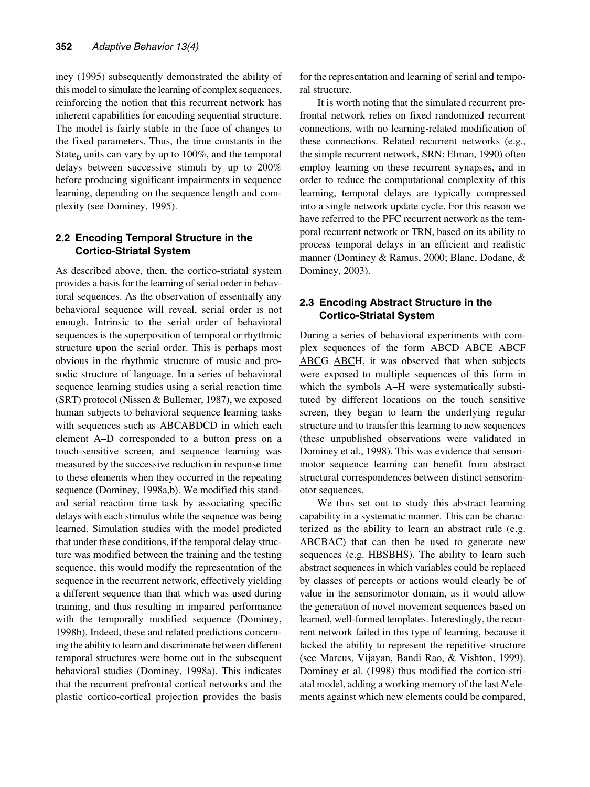iney (1995) subsequently demonstrated the ability of this model to simulate the learning of complex sequences, reinforcing the notion that this recurrent network has inherent capabilities for encoding sequential structure. The model is fairly stable in the face of changes to the fixed parameters. Thus, the time constants in the State<sub>D</sub> units can vary by up to 100%, and the temporal delays between successive stimuli by up to 200% before producing significant impairments in sequence learning, depending on the sequence length and complexity (see Dominey, 1995).

## **2.2 Encoding Temporal Structure in the Cortico-Striatal System**

As described above, then, the cortico-striatal system provides a basis for the learning of serial order in behavioral sequences. As the observation of essentially any behavioral sequence will reveal, serial order is not enough. Intrinsic to the serial order of behavioral sequences is the superposition of temporal or rhythmic structure upon the serial order. This is perhaps most obvious in the rhythmic structure of music and prosodic structure of language. In a series of behavioral sequence learning studies using a serial reaction time (SRT) protocol (Nissen & Bullemer, 1987), we exposed human subjects to behavioral sequence learning tasks with sequences such as ABCABDCD in which each element A–D corresponded to a button press on a touch-sensitive screen, and sequence learning was measured by the successive reduction in response time to these elements when they occurred in the repeating sequence (Dominey, 1998a,b). We modified this standard serial reaction time task by associating specific delays with each stimulus while the sequence was being learned. Simulation studies with the model predicted that under these conditions, if the temporal delay structure was modified between the training and the testing sequence, this would modify the representation of the sequence in the recurrent network, effectively yielding a different sequence than that which was used during training, and thus resulting in impaired performance with the temporally modified sequence (Dominey, 1998b). Indeed, these and related predictions concerning the ability to learn and discriminate between different temporal structures were borne out in the subsequent behavioral studies (Dominey, 1998a). This indicates that the recurrent prefrontal cortical networks and the plastic cortico-cortical projection provides the basis for the representation and learning of serial and temporal structure.

It is worth noting that the simulated recurrent prefrontal network relies on fixed randomized recurrent connections, with no learning-related modification of these connections. Related recurrent networks (e.g., the simple recurrent network, SRN: Elman, 1990) often employ learning on these recurrent synapses, and in order to reduce the computational complexity of this learning, temporal delays are typically compressed into a single network update cycle. For this reason we have referred to the PFC recurrent network as the temporal recurrent network or TRN, based on its ability to process temporal delays in an efficient and realistic manner (Dominey & Ramus, 2000; Blanc, Dodane, & Dominey, 2003).

### **2.3 Encoding Abstract Structure in the Cortico-Striatal System**

During a series of behavioral experiments with complex sequences of the form ABCD ABCE ABCF ABCG ABCH, it was observed that when subjects were exposed to multiple sequences of this form in which the symbols A–H were systematically substituted by different locations on the touch sensitive screen, they began to learn the underlying regular structure and to transfer this learning to new sequences (these unpublished observations were validated in Dominey et al., 1998). This was evidence that sensorimotor sequence learning can benefit from abstract structural correspondences between distinct sensorimotor sequences.

We thus set out to study this abstract learning capability in a systematic manner. This can be characterized as the ability to learn an abstract rule (e.g. ABCBAC) that can then be used to generate new sequences (e.g. HBSBHS). The ability to learn such abstract sequences in which variables could be replaced by classes of percepts or actions would clearly be of value in the sensorimotor domain, as it would allow the generation of novel movement sequences based on learned, well-formed templates. Interestingly, the recurrent network failed in this type of learning, because it lacked the ability to represent the repetitive structure (see Marcus, Vijayan, Bandi Rao, & Vishton, 1999). Dominey et al. (1998) thus modified the cortico-striatal model, adding a working memory of the last *N* elements against which new elements could be compared,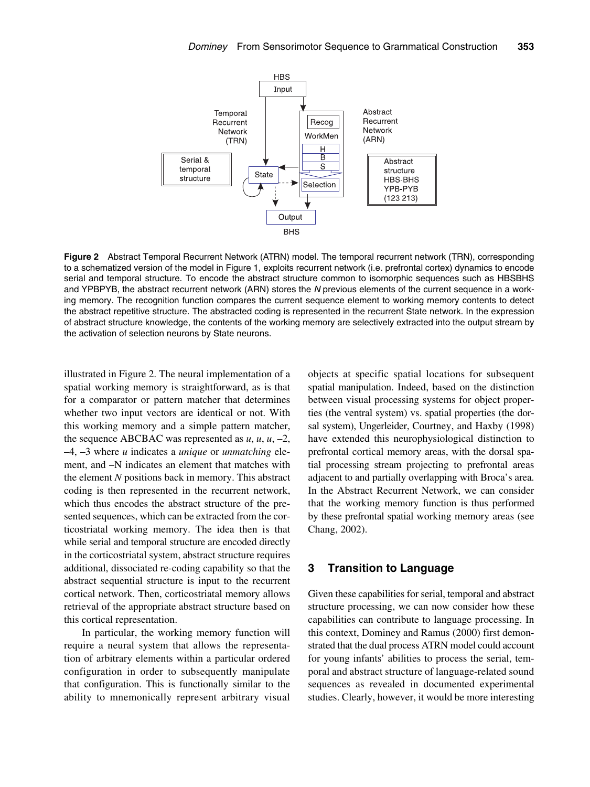

**Figure 2** Abstract Temporal Recurrent Network (ATRN) model. The temporal recurrent network (TRN), corresponding to a schematized version of the model in Figure 1, exploits recurrent network (i.e. prefrontal cortex) dynamics to encode serial and temporal structure. To encode the abstract structure common to isomorphic sequences such as HBSBHS and YPBPYB, the abstract recurrent network (ARN) stores the *N* previous elements of the current sequence in a working memory. The recognition function compares the current sequence element to working memory contents to detect the abstract repetitive structure. The abstracted coding is represented in the recurrent State network. In the expression of abstract structure knowledge, the contents of the working memory are selectively extracted into the output stream by the activation of selection neurons by State neurons.

illustrated in Figure 2. The neural implementation of a spatial working memory is straightforward, as is that for a comparator or pattern matcher that determines whether two input vectors are identical or not. With this working memory and a simple pattern matcher, the sequence ABCBAC was represented as  $u, u, u, -2$ , –4, –3 where *u* indicates a *unique* or *unmatching* element, and –N indicates an element that matches with the element *N* positions back in memory. This abstract coding is then represented in the recurrent network, which thus encodes the abstract structure of the presented sequences, which can be extracted from the corticostriatal working memory. The idea then is that while serial and temporal structure are encoded directly in the corticostriatal system, abstract structure requires additional, dissociated re-coding capability so that the abstract sequential structure is input to the recurrent cortical network. Then, corticostriatal memory allows retrieval of the appropriate abstract structure based on this cortical representation.

In particular, the working memory function will require a neural system that allows the representation of arbitrary elements within a particular ordered configuration in order to subsequently manipulate that configuration. This is functionally similar to the ability to mnemonically represent arbitrary visual objects at specific spatial locations for subsequent spatial manipulation. Indeed, based on the distinction between visual processing systems for object properties (the ventral system) vs. spatial properties (the dorsal system), Ungerleider, Courtney, and Haxby (1998) have extended this neurophysiological distinction to prefrontal cortical memory areas, with the dorsal spatial processing stream projecting to prefrontal areas adjacent to and partially overlapping with Broca's area. In the Abstract Recurrent Network, we can consider that the working memory function is thus performed by these prefrontal spatial working memory areas (see Chang, 2002).

#### **3 Transition to Language**

Given these capabilities for serial, temporal and abstract structure processing, we can now consider how these capabilities can contribute to language processing. In this context, Dominey and Ramus (2000) first demonstrated that the dual process ATRN model could account for young infants' abilities to process the serial, temporal and abstract structure of language-related sound sequences as revealed in documented experimental studies. Clearly, however, it would be more interesting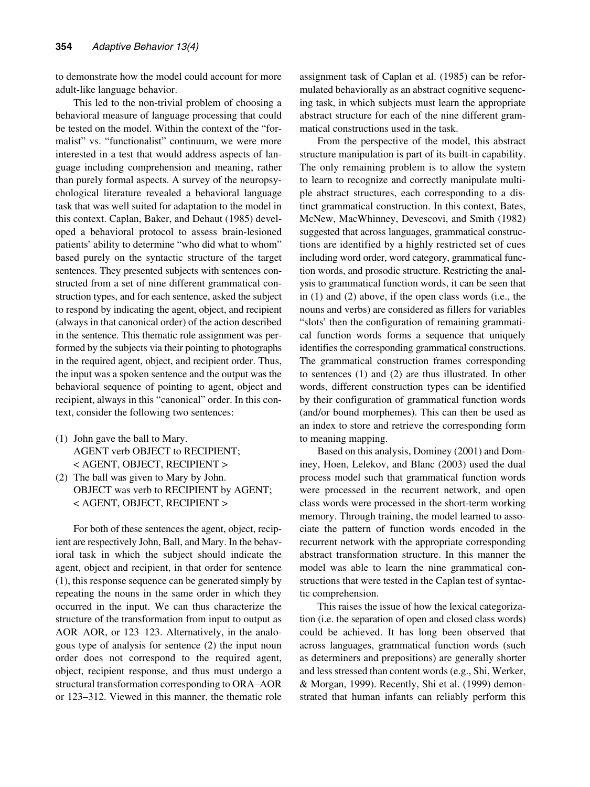to demonstrate how the model could account for more adult-like language behavior.

This led to the non-trivial problem of choosing a behavioral measure of language processing that could be tested on the model. Within the context of the "formalist" vs. "functionalist" continuum, we were more interested in a test that would address aspects of language including comprehension and meaning, rather than purely formal aspects. A survey of the neuropsychological literature revealed a behavioral language task that was well suited for adaptation to the model in this context. Caplan, Baker, and Dehaut (1985) developed a behavioral protocol to assess brain-lesioned patients' ability to determine "who did what to whom" based purely on the syntactic structure of the target sentences. They presented subjects with sentences constructed from a set of nine different grammatical construction types, and for each sentence, asked the subject to respond by indicating the agent, object, and recipient (always in that canonical order) of the action described in the sentence. This thematic role assignment was performed by the subjects via their pointing to photographs in the required agent, object, and recipient order. Thus, the input was a spoken sentence and the output was the behavioral sequence of pointing to agent, object and recipient, always in this "canonical" order. In this context, consider the following two sentences:

- (1) John gave the ball to Mary. AGENT verb OBJECT to RECIPIENT; < AGENT, OBJECT, RECIPIENT >
- (2) The ball was given to Mary by John. OBJECT was verb to RECIPIENT by AGENT; < AGENT, OBJECT, RECIPIENT >

For both of these sentences the agent, object, recipient are respectively John, Ball, and Mary. In the behavioral task in which the subject should indicate the agent, object and recipient, in that order for sentence (1), this response sequence can be generated simply by repeating the nouns in the same order in which they occurred in the input. We can thus characterize the structure of the transformation from input to output as AOR–AOR, or 123–123. Alternatively, in the analogous type of analysis for sentence (2) the input noun order does not correspond to the required agent, object, recipient response, and thus must undergo a structural transformation corresponding to ORA–AOR or 123–312. Viewed in this manner, the thematic role assignment task of Caplan et al. (1985) can be reformulated behaviorally as an abstract cognitive sequencing task, in which subjects must learn the appropriate abstract structure for each of the nine different grammatical constructions used in the task.

From the perspective of the model, this abstract structure manipulation is part of its built-in capability. The only remaining problem is to allow the system to learn to recognize and correctly manipulate multiple abstract structures, each corresponding to a distinct grammatical construction. In this context, Bates, McNew, MacWhinney, Devescovi, and Smith (1982) suggested that across languages, grammatical constructions are identified by a highly restricted set of cues including word order, word category, grammatical function words, and prosodic structure. Restricting the analysis to grammatical function words, it can be seen that in (1) and (2) above, if the open class words (i.e., the nouns and verbs) are considered as fillers for variables "slots' then the configuration of remaining grammatical function words forms a sequence that uniquely identifies the corresponding grammatical constructions. The grammatical construction frames corresponding to sentences (1) and (2) are thus illustrated. In other words, different construction types can be identified by their configuration of grammatical function words (and/or bound morphemes). This can then be used as an index to store and retrieve the corresponding form to meaning mapping.

Based on this analysis, Dominey (2001) and Dominey, Hoen, Lelekov, and Blanc (2003) used the dual process model such that grammatical function words were processed in the recurrent network, and open class words were processed in the short-term working memory. Through training, the model learned to associate the pattern of function words encoded in the recurrent network with the appropriate corresponding abstract transformation structure. In this manner the model was able to learn the nine grammatical constructions that were tested in the Caplan test of syntactic comprehension.

This raises the issue of how the lexical categorization (i.e. the separation of open and closed class words) could be achieved. It has long been observed that across languages, grammatical function words (such as determiners and prepositions) are generally shorter and less stressed than content words (e.g., Shi, Werker, & Morgan, 1999). Recently, Shi et al. (1999) demonstrated that human infants can reliably perform this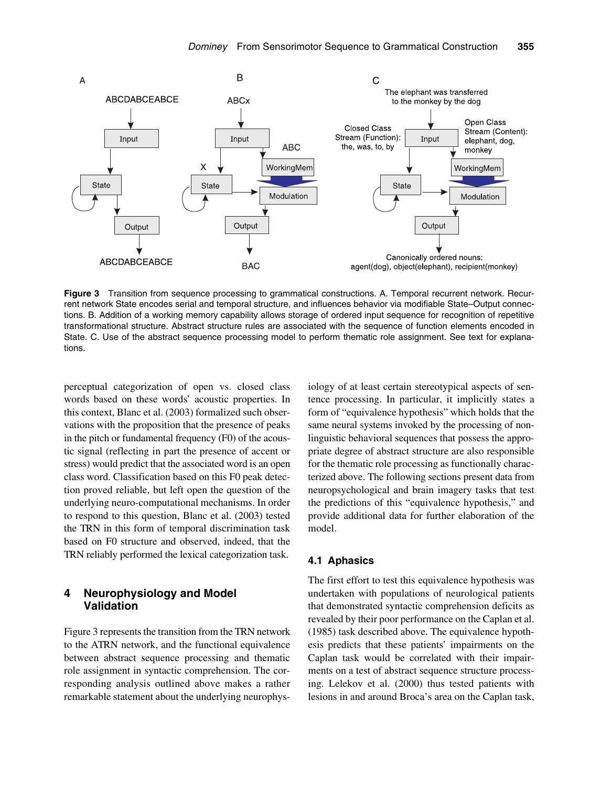

**Figure 3** Transition from sequence processing to grammatical constructions. A. Temporal recurrent network. Recurrent network State encodes serial and temporal structure, and influences behavior via modifiable State–Output connections. B. Addition of a working memory capability allows storage of ordered input sequence for recognition of repetitive transformational structure. Abstract structure rules are associated with the sequence of function elements encoded in State. C. Use of the abstract sequence processing model to perform thematic role assignment. See text for explanations.

perceptual categorization of open vs. closed class words based on these words' acoustic properties. In this context, Blanc et al. (2003) formalized such observations with the proposition that the presence of peaks in the pitch or fundamental frequency (F0) of the acoustic signal (reflecting in part the presence of accent or stress) would predict that the associated word is an open class word. Classification based on this F0 peak detection proved reliable, but left open the question of the underlying neuro-computational mechanisms. In order to respond to this question, Blanc et al. (2003) tested the TRN in this form of temporal discrimination task based on F0 structure and observed, indeed, that the TRN reliably performed the lexical categorization task.

## **4 Neurophysiology and Model Validation**

Figure 3 represents the transition from the TRN network to the ATRN network, and the functional equivalence between abstract sequence processing and thematic role assignment in syntactic comprehension. The corresponding analysis outlined above makes a rather remarkable statement about the underlying neurophysiology of at least certain stereotypical aspects of sentence processing. In particular, it implicitly states a form of "equivalence hypothesis" which holds that the same neural systems invoked by the processing of nonlinguistic behavioral sequences that possess the appropriate degree of abstract structure are also responsible for the thematic role processing as functionally characterized above. The following sections present data from neuropsychological and brain imagery tasks that test the predictions of this "equivalence hypothesis," and provide additional data for further elaboration of the model.

#### **4.1 Aphasics**

The first effort to test this equivalence hypothesis was undertaken with populations of neurological patients that demonstrated syntactic comprehension deficits as revealed by their poor performance on the Caplan et al. (1985) task described above. The equivalence hypothesis predicts that these patients' impairments on the Caplan task would be correlated with their impairments on a test of abstract sequence structure processing. Lelekov et al. (2000) thus tested patients with lesions in and around Broca's area on the Caplan task,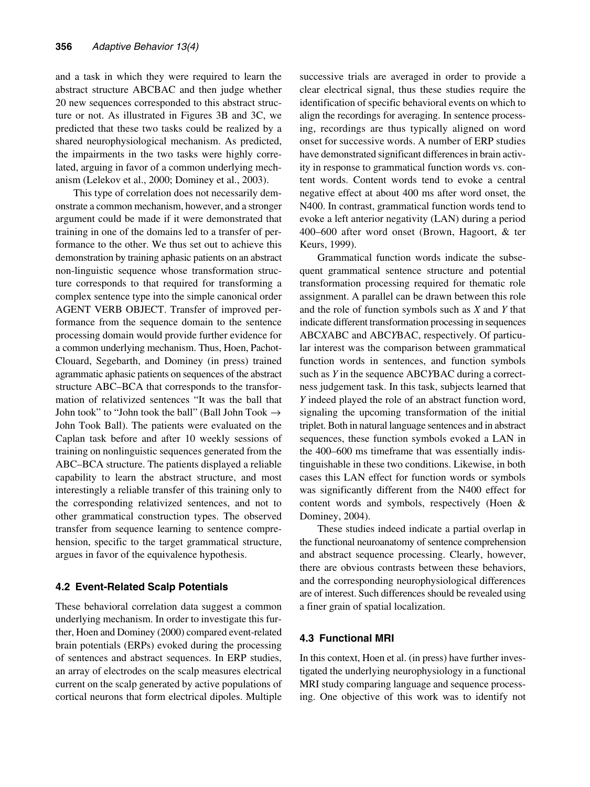and a task in which they were required to learn the abstract structure ABCBAC and then judge whether 20 new sequences corresponded to this abstract structure or not. As illustrated in Figures 3B and 3C, we predicted that these two tasks could be realized by a shared neurophysiological mechanism. As predicted, the impairments in the two tasks were highly correlated, arguing in favor of a common underlying mechanism (Lelekov et al., 2000; Dominey et al., 2003).

This type of correlation does not necessarily demonstrate a common mechanism, however, and a stronger argument could be made if it were demonstrated that training in one of the domains led to a transfer of performance to the other. We thus set out to achieve this demonstration by training aphasic patients on an abstract non-linguistic sequence whose transformation structure corresponds to that required for transforming a complex sentence type into the simple canonical order AGENT VERB OBJECT. Transfer of improved performance from the sequence domain to the sentence processing domain would provide further evidence for a common underlying mechanism. Thus, Hoen, Pachot-Clouard, Segebarth, and Dominey (in press) trained agrammatic aphasic patients on sequences of the abstract structure ABC–BCA that corresponds to the transformation of relativized sentences "It was the ball that John took" to "John took the ball" (Ball John Took  $\rightarrow$ John Took Ball). The patients were evaluated on the Caplan task before and after 10 weekly sessions of training on nonlinguistic sequences generated from the ABC–BCA structure. The patients displayed a reliable capability to learn the abstract structure, and most interestingly a reliable transfer of this training only to the corresponding relativized sentences, and not to other grammatical construction types. The observed transfer from sequence learning to sentence comprehension, specific to the target grammatical structure, argues in favor of the equivalence hypothesis.

#### **4.2 Event-Related Scalp Potentials**

These behavioral correlation data suggest a common underlying mechanism. In order to investigate this further, Hoen and Dominey (2000) compared event-related brain potentials (ERPs) evoked during the processing of sentences and abstract sequences. In ERP studies, an array of electrodes on the scalp measures electrical current on the scalp generated by active populations of cortical neurons that form electrical dipoles. Multiple successive trials are averaged in order to provide a clear electrical signal, thus these studies require the identification of specific behavioral events on which to align the recordings for averaging. In sentence processing, recordings are thus typically aligned on word onset for successive words. A number of ERP studies have demonstrated significant differences in brain activity in response to grammatical function words vs. content words. Content words tend to evoke a central negative effect at about 400 ms after word onset, the N400. In contrast, grammatical function words tend to evoke a left anterior negativity (LAN) during a period 400–600 after word onset (Brown, Hagoort, & ter Keurs, 1999).

Grammatical function words indicate the subsequent grammatical sentence structure and potential transformation processing required for thematic role assignment. A parallel can be drawn between this role and the role of function symbols such as *X* and *Y* that indicate different transformation processing in sequences ABC*X*ABC and ABC*Y*BAC, respectively. Of particular interest was the comparison between grammatical function words in sentences, and function symbols such as *Y* in the sequence ABC*Y*BAC during a correctness judgement task. In this task, subjects learned that *Y* indeed played the role of an abstract function word, signaling the upcoming transformation of the initial triplet. Both in natural language sentences and in abstract sequences, these function symbols evoked a LAN in the 400–600 ms timeframe that was essentially indistinguishable in these two conditions. Likewise, in both cases this LAN effect for function words or symbols was significantly different from the N400 effect for content words and symbols, respectively (Hoen & Dominey, 2004).

These studies indeed indicate a partial overlap in the functional neuroanatomy of sentence comprehension and abstract sequence processing. Clearly, however, there are obvious contrasts between these behaviors, and the corresponding neurophysiological differences are of interest. Such differences should be revealed using a finer grain of spatial localization.

## **4.3 Functional MRI**

In this context, Hoen et al. (in press) have further investigated the underlying neurophysiology in a functional MRI study comparing language and sequence processing. One objective of this work was to identify not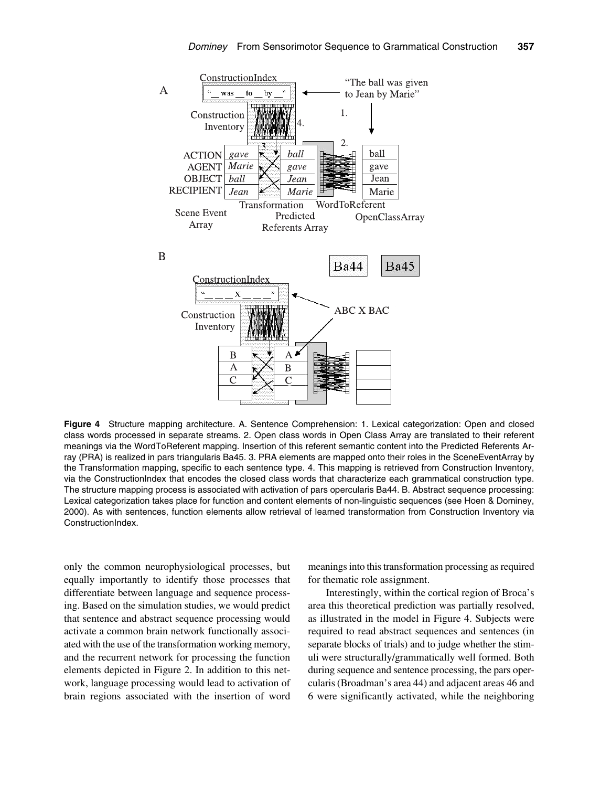

**Figure 4** Structure mapping architecture. A. Sentence Comprehension: 1. Lexical categorization: Open and closed class words processed in separate streams. 2. Open class words in Open Class Array are translated to their referent meanings via the WordToReferent mapping. Insertion of this referent semantic content into the Predicted Referents Array (PRA) is realized in pars triangularis Ba45. 3. PRA elements are mapped onto their roles in the SceneEventArray by the Transformation mapping, specific to each sentence type. 4. This mapping is retrieved from Construction Inventory, via the ConstructionIndex that encodes the closed class words that characterize each grammatical construction type. The structure mapping process is associated with activation of pars opercularis Ba44. B. Abstract sequence processing: Lexical categorization takes place for function and content elements of non-linguistic sequences (see Hoen & Dominey, 2000). As with sentences, function elements allow retrieval of learned transformation from Construction Inventory via ConstructionIndex.

only the common neurophysiological processes, but equally importantly to identify those processes that differentiate between language and sequence processing. Based on the simulation studies, we would predict that sentence and abstract sequence processing would activate a common brain network functionally associated with the use of the transformation working memory, and the recurrent network for processing the function elements depicted in Figure 2. In addition to this network, language processing would lead to activation of brain regions associated with the insertion of word meanings into this transformation processing as required for thematic role assignment.

Interestingly, within the cortical region of Broca's area this theoretical prediction was partially resolved, as illustrated in the model in Figure 4. Subjects were required to read abstract sequences and sentences (in separate blocks of trials) and to judge whether the stimuli were structurally/grammatically well formed. Both during sequence and sentence processing, the pars opercularis (Broadman's area 44) and adjacent areas 46 and 6 were significantly activated, while the neighboring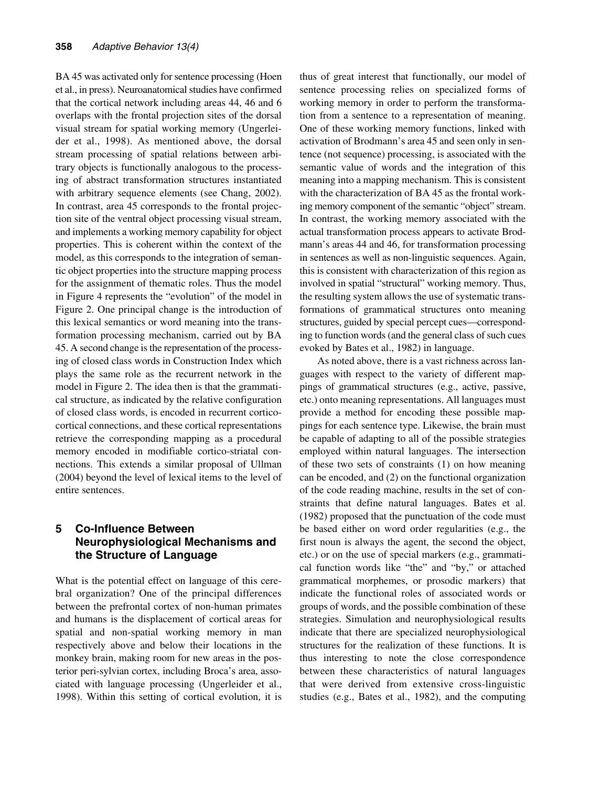BA 45 was activated only for sentence processing (Hoen et al., in press). Neuroanatomical studies have confirmed that the cortical network including areas 44, 46 and 6 overlaps with the frontal projection sites of the dorsal visual stream for spatial working memory (Ungerleider et al., 1998). As mentioned above, the dorsal stream processing of spatial relations between arbitrary objects is functionally analogous to the processing of abstract transformation structures instantiated with arbitrary sequence elements (see Chang, 2002). In contrast, area 45 corresponds to the frontal projection site of the ventral object processing visual stream, and implements a working memory capability for object properties. This is coherent within the context of the model, as this corresponds to the integration of semantic object properties into the structure mapping process for the assignment of thematic roles. Thus the model in Figure 4 represents the "evolution" of the model in Figure 2. One principal change is the introduction of this lexical semantics or word meaning into the transformation processing mechanism, carried out by BA 45. A second change is the representation of the processing of closed class words in Construction Index which plays the same role as the recurrent network in the model in Figure 2. The idea then is that the grammatical structure, as indicated by the relative configuration of closed class words, is encoded in recurrent corticocortical connections, and these cortical representations retrieve the corresponding mapping as a procedural memory encoded in modifiable cortico-striatal connections. This extends a similar proposal of Ullman (2004) beyond the level of lexical items to the level of entire sentences.

## **5 Co-Influence Between Neurophysiological Mechanisms and the Structure of Language**

What is the potential effect on language of this cerebral organization? One of the principal differences between the prefrontal cortex of non-human primates and humans is the displacement of cortical areas for spatial and non-spatial working memory in man respectively above and below their locations in the monkey brain, making room for new areas in the posterior peri-sylvian cortex, including Broca's area, associated with language processing (Ungerleider et al., 1998). Within this setting of cortical evolution, it is thus of great interest that functionally, our model of sentence processing relies on specialized forms of working memory in order to perform the transformation from a sentence to a representation of meaning. One of these working memory functions, linked with activation of Brodmann's area 45 and seen only in sentence (not sequence) processing, is associated with the semantic value of words and the integration of this meaning into a mapping mechanism. This is consistent with the characterization of BA 45 as the frontal working memory component of the semantic "object" stream. In contrast, the working memory associated with the actual transformation process appears to activate Brodmann's areas 44 and 46, for transformation processing in sentences as well as non-linguistic sequences. Again, this is consistent with characterization of this region as involved in spatial "structural" working memory. Thus, the resulting system allows the use of systematic transformations of grammatical structures onto meaning structures, guided by special percept cues—corresponding to function words (and the general class of such cues evoked by Bates et al., 1982) in language.

As noted above, there is a vast richness across languages with respect to the variety of different mappings of grammatical structures (e.g., active, passive, etc.) onto meaning representations. All languages must provide a method for encoding these possible mappings for each sentence type. Likewise, the brain must be capable of adapting to all of the possible strategies employed within natural languages. The intersection of these two sets of constraints (1) on how meaning can be encoded, and (2) on the functional organization of the code reading machine, results in the set of constraints that define natural languages. Bates et al. (1982) proposed that the punctuation of the code must be based either on word order regularities (e.g., the first noun is always the agent, the second the object, etc.) or on the use of special markers (e.g., grammatical function words like "the" and "by," or attached grammatical morphemes, or prosodic markers) that indicate the functional roles of associated words or groups of words, and the possible combination of these strategies. Simulation and neurophysiological results indicate that there are specialized neurophysiological structures for the realization of these functions. It is thus interesting to note the close correspondence between these characteristics of natural languages that were derived from extensive cross-linguistic studies (e.g., Bates et al., 1982), and the computing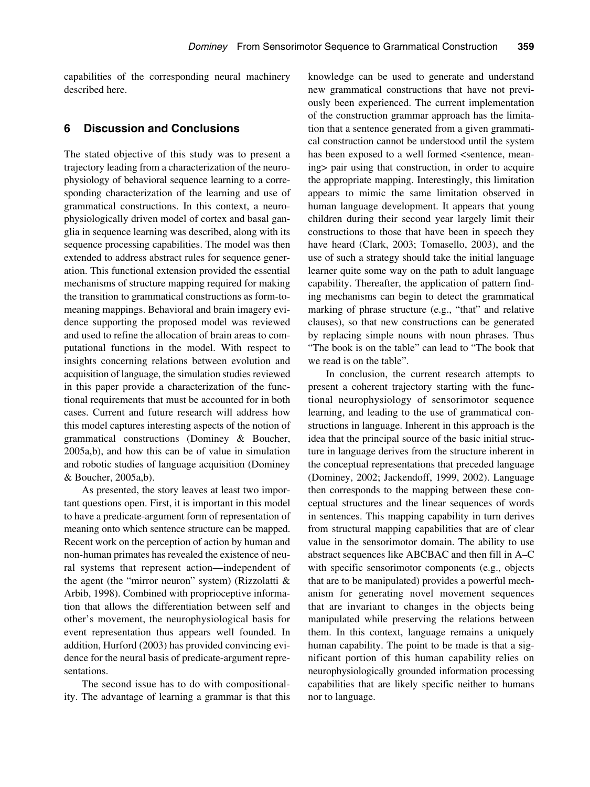capabilities of the corresponding neural machinery described here.

#### **6 Discussion and Conclusions**

The stated objective of this study was to present a trajectory leading from a characterization of the neurophysiology of behavioral sequence learning to a corresponding characterization of the learning and use of grammatical constructions. In this context, a neurophysiologically driven model of cortex and basal ganglia in sequence learning was described, along with its sequence processing capabilities. The model was then extended to address abstract rules for sequence generation. This functional extension provided the essential mechanisms of structure mapping required for making the transition to grammatical constructions as form-tomeaning mappings. Behavioral and brain imagery evidence supporting the proposed model was reviewed and used to refine the allocation of brain areas to computational functions in the model. With respect to insights concerning relations between evolution and acquisition of language, the simulation studies reviewed in this paper provide a characterization of the functional requirements that must be accounted for in both cases. Current and future research will address how this model captures interesting aspects of the notion of grammatical constructions (Dominey & Boucher, 2005a,b), and how this can be of value in simulation and robotic studies of language acquisition (Dominey & Boucher, 2005a,b).

As presented, the story leaves at least two important questions open. First, it is important in this model to have a predicate-argument form of representation of meaning onto which sentence structure can be mapped. Recent work on the perception of action by human and non-human primates has revealed the existence of neural systems that represent action—independent of the agent (the "mirror neuron" system) (Rizzolatti & Arbib, 1998). Combined with proprioceptive information that allows the differentiation between self and other's movement, the neurophysiological basis for event representation thus appears well founded. In addition, Hurford (2003) has provided convincing evidence for the neural basis of predicate-argument representations.

The second issue has to do with compositionality. The advantage of learning a grammar is that this knowledge can be used to generate and understand new grammatical constructions that have not previously been experienced. The current implementation of the construction grammar approach has the limitation that a sentence generated from a given grammatical construction cannot be understood until the system has been exposed to a well formed  $\leq$ sentence, meaning> pair using that construction, in order to acquire the appropriate mapping. Interestingly, this limitation appears to mimic the same limitation observed in human language development. It appears that young children during their second year largely limit their constructions to those that have been in speech they have heard (Clark, 2003; Tomasello, 2003), and the use of such a strategy should take the initial language learner quite some way on the path to adult language capability. Thereafter, the application of pattern finding mechanisms can begin to detect the grammatical marking of phrase structure (e.g., "that" and relative clauses), so that new constructions can be generated by replacing simple nouns with noun phrases. Thus "The book is on the table" can lead to "The book that we read is on the table".

In conclusion, the current research attempts to present a coherent trajectory starting with the functional neurophysiology of sensorimotor sequence learning, and leading to the use of grammatical constructions in language. Inherent in this approach is the idea that the principal source of the basic initial structure in language derives from the structure inherent in the conceptual representations that preceded language (Dominey, 2002; Jackendoff, 1999, 2002). Language then corresponds to the mapping between these conceptual structures and the linear sequences of words in sentences. This mapping capability in turn derives from structural mapping capabilities that are of clear value in the sensorimotor domain. The ability to use abstract sequences like ABCBAC and then fill in A–C with specific sensorimotor components (e.g., objects that are to be manipulated) provides a powerful mechanism for generating novel movement sequences that are invariant to changes in the objects being manipulated while preserving the relations between them. In this context, language remains a uniquely human capability. The point to be made is that a significant portion of this human capability relies on neurophysiologically grounded information processing capabilities that are likely specific neither to humans nor to language.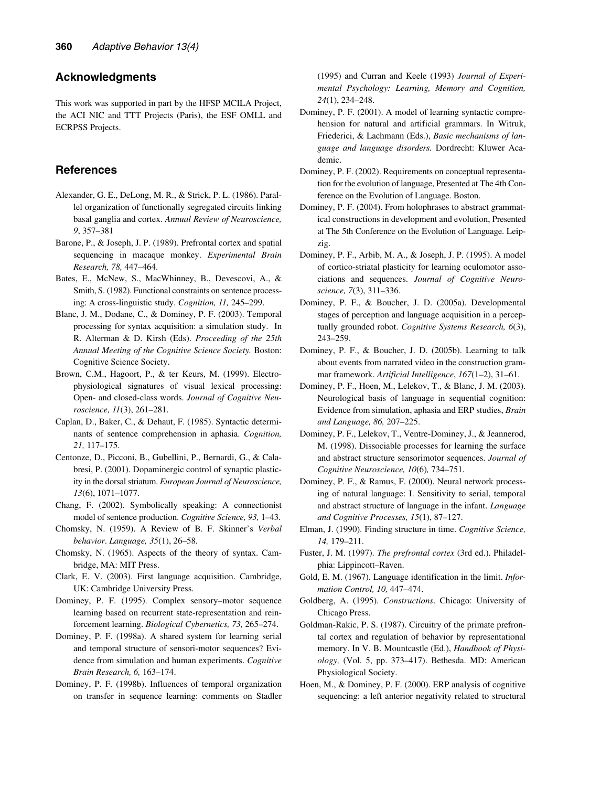#### **Acknowledgments**

This work was supported in part by the HFSP MCILA Project, the ACI NIC and TTT Projects (Paris), the ESF OMLL and ECRPSS Projects.

#### **References**

- Alexander, G. E., DeLong, M. R., & Strick, P. L. (1986). Parallel organization of functionally segregated circuits linking basal ganglia and cortex. *Annual Review of Neuroscience, 9*, 357–381
- Barone, P., & Joseph, J. P. (1989). Prefrontal cortex and spatial sequencing in macaque monkey. *Experimental Brain Research, 78,* 447–464.
- Bates, E., McNew, S., MacWhinney, B., Devescovi, A., & Smith, S. (1982). Functional constraints on sentence processing: A cross-linguistic study. *Cognition, 11,* 245–299.
- Blanc, J. M., Dodane, C., & Dominey, P. F. (2003). Temporal processing for syntax acquisition: a simulation study. In R. Alterman & D. Kirsh (Eds). *Proceeding of the 25th Annual Meeting of the Cognitive Science Society.* Boston: Cognitive Science Society.
- Brown, C.M., Hagoort, P., & ter Keurs, M. (1999). Electrophysiological signatures of visual lexical processing: Open- and closed-class words. *Journal of Cognitive Neuroscience, 11*(3), 261–281.
- Caplan, D., Baker, C., & Dehaut, F. (1985). Syntactic determinants of sentence comprehension in aphasia. *Cognition, 21,* 117–175.
- Centonze, D., Picconi, B., Gubellini, P., Bernardi, G., & Calabresi, P. (2001). Dopaminergic control of synaptic plasticity in the dorsal striatum. *European Journal of Neuroscience, 13*(6), 1071–1077.
- Chang, F. (2002). Symbolically speaking: A connectionist model of sentence production. *Cognitive Science, 93,* 1–43.
- Chomsky, N. (1959). A Review of B. F. Skinner's *Verbal behavior*. *Language, 35*(1), 26–58.
- Chomsky, N. (1965). Aspects of the theory of syntax. Cambridge, MA: MIT Press.
- Clark, E. V. (2003). First language acquisition. Cambridge, UK: Cambridge University Press.
- Dominey, P. F. (1995). Complex sensory–motor sequence learning based on recurrent state-representation and reinforcement learning. *Biological Cybernetics, 73,* 265–274.
- Dominey, P. F. (1998a). A shared system for learning serial and temporal structure of sensori-motor sequences? Evidence from simulation and human experiments. *Cognitive Brain Research, 6,* 163–174.
- Dominey, P. F. (1998b). Influences of temporal organization on transfer in sequence learning: comments on Stadler

(1995) and Curran and Keele (1993) *Journal of Experimental Psychology: Learning, Memory and Cognition, 24*(1), 234–248.

- Dominey, P. F. (2001). A model of learning syntactic comprehension for natural and artificial grammars. In Witruk, Friederici, & Lachmann (Eds.), *Basic mechanisms of language and language disorders.* Dordrecht: Kluwer Academic.
- Dominey, P. F. (2002). Requirements on conceptual representation for the evolution of language, Presented at The 4th Conference on the Evolution of Language. Boston.
- Dominey, P. F. (2004). From holophrases to abstract grammatical constructions in development and evolution, Presented at The 5th Conference on the Evolution of Language. Leipzig.
- Dominey, P. F., Arbib, M. A., & Joseph, J. P. (1995). A model of cortico-striatal plasticity for learning oculomotor associations and sequences. *Journal of Cognitive Neuroscience, 7*(3), 311–336.
- Dominey, P. F., & Boucher, J. D. (2005a). Developmental stages of perception and language acquisition in a perceptually grounded robot. *Cognitive Systems Research, 6*(3), 243–259.
- Dominey, P. F., & Boucher, J. D. (2005b). Learning to talk about events from narrated video in the construction grammar framework. *Artificial Intelligence*, *167*(1–2), 31–61.
- Dominey, P. F., Hoen, M., Lelekov, T., & Blanc, J. M. (2003). Neurological basis of language in sequential cognition: Evidence from simulation, aphasia and ERP studies, *Brain and Language, 86,* 207–225.
- Dominey, P. F., Lelekov, T., Ventre-Dominey, J., & Jeannerod, M. (1998). Dissociable processes for learning the surface and abstract structure sensorimotor sequences. *Journal of Cognitive Neuroscience, 10*(6)*,* 734–751.
- Dominey, P. F., & Ramus, F. (2000). Neural network processing of natural language: I. Sensitivity to serial, temporal and abstract structure of language in the infant. *Language and Cognitive Processes, 15*(1), 87–127.
- Elman, J. (1990). Finding structure in time. *Cognitive Science, 14,* 179–211.
- Fuster, J. M. (1997). *The prefrontal cortex* (3rd ed.). Philadelphia: Lippincott–Raven.
- Gold, E. M. (1967). Language identification in the limit. *Information Control, 10,* 447–474.
- Goldberg, A. (1995). *Constructions*. Chicago: University of Chicago Press.
- Goldman-Rakic, P. S. (1987). Circuitry of the primate prefrontal cortex and regulation of behavior by representational memory. In V. B. Mountcastle (Ed.), *Handbook of Physiology,* (Vol. 5, pp. 373–417). Bethesda. MD: American Physiological Society.
- Hoen, M., & Dominey, P. F. (2000). ERP analysis of cognitive sequencing: a left anterior negativity related to structural